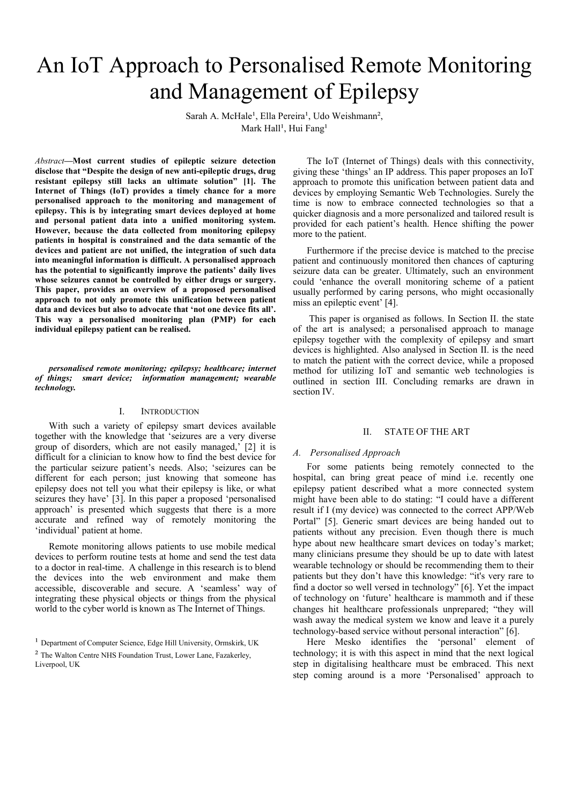# An IoT Approach to Personalised Remote Monitoring and Management of Epilepsy

Sarah A. McHale<sup>1</sup>, Ella Pereira<sup>1</sup>, Udo Weishmann<sup>2</sup>, Mark Hall<sup>1</sup>, Hui Fang<sup>1</sup>

*Abstract***—Most current studies of epileptic seizure detection disclose that "Despite the design of new anti-epileptic drugs, drug resistant epilepsy still lacks an ultimate solution" [1]. The Internet of Things (IoT) provides a timely chance for a more personalised approach to the monitoring and management of epilepsy. This is by integrating smart devices deployed at home and personal patient data into a unified monitoring system. However, because the data collected from monitoring epilepsy patients in hospital is constrained and the data semantic of the devices and patient are not unified, the integration of such data into meaningful information is difficult. A personalised approach has the potential to significantly improve the patients' daily lives whose seizures cannot be controlled by either drugs or surgery. This paper, provides an overview of a proposed personalised approach to not only promote this unification between patient data and devices but also to advocate that 'not one device fits all'. This way a personalised monitoring plan (PMP) for each individual epilepsy patient can be realised.** 

*personalised remote monitoring; epilepsy; healthcare; internet of things; smart device; information management; wearable technology.* 

## I. INTRODUCTION

With such a variety of epilepsy smart devices available together with the knowledge that 'seizures are a very diverse group of disorders, which are not easily managed,' [2] it is difficult for a clinician to know how to find the best device for the particular seizure patient's needs. Also; 'seizures can be different for each person; just knowing that someone has epilepsy does not tell you what their epilepsy is like, or what seizures they have' [3]. In this paper a proposed 'personalised approach' is presented which suggests that there is a more accurate and refined way of remotely monitoring the 'individual' patient at home.

Remote monitoring allows patients to use mobile medical devices to perform routine tests at home and send the test data to a doctor in real-time. A challenge in this research is to blend the devices into the web environment and make them accessible, discoverable and secure. A 'seamless' way of integrating these physical objects or things from the physical world to the cyber world is known as The Internet of Things.

The IoT (Internet of Things) deals with this connectivity, giving these 'things' an IP address. This paper proposes an IoT approach to promote this unification between patient data and devices by employing Semantic Web Technologies. Surely the time is now to embrace connected technologies so that a quicker diagnosis and a more personalized and tailored result is provided for each patient's health. Hence shifting the power more to the patient.

Furthermore if the precise device is matched to the precise patient and continuously monitored then chances of capturing seizure data can be greater. Ultimately, such an environment could 'enhance the overall monitoring scheme of a patient usually performed by caring persons, who might occasionally miss an epileptic event' [4].

 This paper is organised as follows. In Section II. the state of the art is analysed; a personalised approach to manage epilepsy together with the complexity of epilepsy and smart devices is highlighted. Also analysed in Section II. is the need to match the patient with the correct device, while a proposed method for utilizing IoT and semantic web technologies is outlined in section III. Concluding remarks are drawn in section IV.

## II. STATE OF THE ART

# *A. Personalised Approach*

For some patients being remotely connected to the hospital, can bring great peace of mind i.e. recently one epilepsy patient described what a more connected system might have been able to do stating: "I could have a different result if I (my device) was connected to the correct APP/Web Portal" [5]. Generic smart devices are being handed out to patients without any precision. Even though there is much hype about new healthcare smart devices on today's market; many clinicians presume they should be up to date with latest wearable technology or should be recommending them to their patients but they don't have this knowledge: "it's very rare to find a doctor so well versed in technology" [6]. Yet the impact of technology on 'future' healthcare is mammoth and if these changes hit healthcare professionals unprepared; "they will wash away the medical system we know and leave it a purely technology-based service without personal interaction" [6].

Here Mesko identifies the 'personal' element of technology; it is with this aspect in mind that the next logical step in digitalising healthcare must be embraced. This next step coming around is a more 'Personalised' approach to

<sup>&</sup>lt;sup>1</sup> Department of Computer Science, Edge Hill University, Ormskirk, UK

² The Walton Centre NHS Foundation Trust, Lower Lane, Fazakerley, Liverpool, UK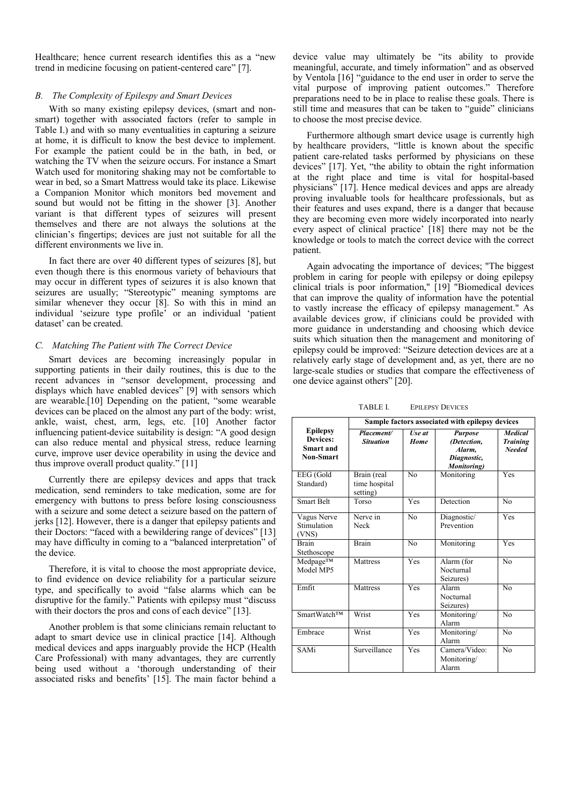Healthcare; hence current research identifies this as a "new trend in medicine focusing on patient-centered care" [7].

#### *B. The Complexity of Epilespy and Smart Devices*

With so many existing epilepsy devices, (smart and nonsmart) together with associated factors (refer to sample in Table I.) and with so many eventualities in capturing a seizure at home, it is difficult to know the best device to implement. For example the patient could be in the bath, in bed, or watching the TV when the seizure occurs. For instance a Smart Watch used for monitoring shaking may not be comfortable to wear in bed, so a Smart Mattress would take its place. Likewise a Companion Monitor which monitors bed movement and sound but would not be fitting in the shower [3]. Another variant is that different types of seizures will present themselves and there are not always the solutions at the clinician's fingertips; devices are just not suitable for all the different environments we live in.

In fact there are over 40 different types of seizures [8], but even though there is this enormous variety of behaviours that may occur in different types of seizures it is also known that seizures are usually; "Stereotypic" meaning symptoms are similar whenever they occur [8]. So with this in mind an individual 'seizure type profile' or an individual 'patient dataset' can be created.

#### *C. Matching The Patient with The Correct Device*

Smart devices are becoming increasingly popular in supporting patients in their daily routines, this is due to the recent advances in "sensor development, processing and displays which have enabled devices" [9] with sensors which are wearable.[10] Depending on the patient, "some wearable devices can be placed on the almost any part of the body: wrist, ankle, waist, chest, arm, legs, etc. [10] Another factor influencing patient-device suitability is design: "A good design can also reduce mental and physical stress, reduce learning curve, improve user device operability in using the device and thus improve overall product quality." [11]

Currently there are epilepsy devices and apps that track medication, send reminders to take medication, some are for emergency with buttons to press before losing consciousness with a seizure and some detect a seizure based on the pattern of jerks [12]. However, there is a danger that epilepsy patients and their Doctors: "faced with a bewildering range of devices" [13] may have difficulty in coming to a "balanced interpretation" of the device.

Therefore, it is vital to choose the most appropriate device, to find evidence on device reliability for a particular seizure type, and specifically to avoid "false alarms which can be disruptive for the family." Patients with epilepsy must "discuss with their doctors the pros and cons of each device" [13].

Another problem is that some clinicians remain reluctant to adapt to smart device use in clinical practice [14]. Although medical devices and apps inarguably provide the HCP (Health Care Professional) with many advantages, they are currently being used without a 'thorough understanding of their associated risks and benefits' [15]. The main factor behind a device value may ultimately be "its ability to provide meaningful, accurate, and timely information" and as observed by Ventola [16] "guidance to the end user in order to serve the vital purpose of improving patient outcomes." Therefore preparations need to be in place to realise these goals. There is still time and measures that can be taken to "guide" clinicians to choose the most precise device.

Furthermore although smart device usage is currently high by healthcare providers, "little is known about the specific patient care-related tasks performed by physicians on these devices" [17]. Yet, "the ability to obtain the right information at the right place and time is vital for hospital-based physicians" [17]. Hence medical devices and apps are already proving invaluable tools for healthcare professionals, but as their features and uses expand, there is a danger that because they are becoming even more widely incorporated into nearly every aspect of clinical practice' [18] there may not be the knowledge or tools to match the correct device with the correct patient.

Again advocating the importance of devices; "The biggest problem in caring for people with epilepsy or doing epilepsy clinical trials is poor information," [19] "Biomedical devices that can improve the quality of information have the potential to vastly increase the efficacy of epilepsy management." As available devices grow, if clinicians could be provided with more guidance in understanding and choosing which device suits which situation then the management and monitoring of epilepsy could be improved: "Seizure detection devices are at a relatively early stage of development and, as yet, there are no large-scale studies or studies that compare the effectiveness of one device against others" [20].

|                                                              | Sample factors associated with epilepsy devices |                       |                                                                       |                                                    |  |
|--------------------------------------------------------------|-------------------------------------------------|-----------------------|-----------------------------------------------------------------------|----------------------------------------------------|--|
| <b>Epilepsy</b><br>Devices:<br>Smart and<br><b>Non-Smart</b> | Placement/<br><b>Situation</b>                  | Use at<br><b>Home</b> | <b>Purpose</b><br>(Detection,<br>Alarm.<br>Diagnostic,<br>Monitoring) | <b>Medical</b><br><b>Training</b><br><b>Needed</b> |  |
| EEG (Gold<br>Standard)                                       | Brain (real<br>time hospital<br>setting)        | N <sub>0</sub>        | Monitoring                                                            | Yes                                                |  |
| <b>Smart Belt</b>                                            | Torso                                           | <b>Yes</b>            | Detection                                                             | N <sub>0</sub>                                     |  |
| Vagus Nerve<br>Stimulation<br>(VNS)                          | Nerve in<br>Neck                                | N <sub>0</sub>        | Diagnostic/<br>Prevention                                             | Yes                                                |  |
| <b>Brain</b><br>Stethoscope                                  | <b>Brain</b>                                    | No                    | Monitoring                                                            | Yes                                                |  |
| $Medpage^{TM}$<br>Model MP5                                  | Mattress                                        | Yes                   | Alarm (for<br>Nocturnal<br>Seizures)                                  | N <sub>0</sub>                                     |  |
| Emfit                                                        | <b>Mattress</b>                                 | Yes                   | No<br>Alarm<br>Nocturnal<br>Seizures)                                 |                                                    |  |
| <b>SmartWatchTM</b>                                          | Wrist                                           | Yes                   | Monitoring/<br>$\overline{N}$<br>Alarm                                |                                                    |  |
| Embrace                                                      | Wrist                                           | Yes                   | N <sub>0</sub><br>Monitoring/<br>Alarm                                |                                                    |  |
| <b>SAMi</b>                                                  | Surveillance                                    | <b>Yes</b>            | N <sub>0</sub><br>Camera/Video:<br>Monitoring/<br>Alarm               |                                                    |  |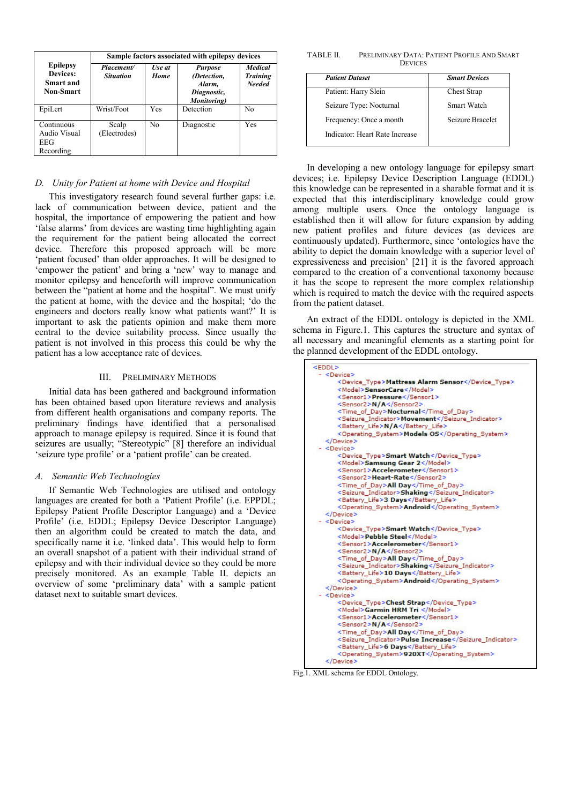|                                                                     | Sample factors associated with epilepsy devices |                |                                                                       |                                                    |  |
|---------------------------------------------------------------------|-------------------------------------------------|----------------|-----------------------------------------------------------------------|----------------------------------------------------|--|
| <b>Epilepsy</b><br><b>Devices:</b><br>Smart and<br><b>Non-Smart</b> | Placement/<br><b>Situation</b>                  | Use at<br>Home | <b>Purpose</b><br>(Detection,<br>Alarm,<br>Diagnostic,<br>Monitoring) | <b>Medical</b><br><b>Training</b><br><b>Needed</b> |  |
| EpiLert                                                             | Wrist/Foot                                      | <b>Yes</b>     | Detection                                                             | No                                                 |  |
| Continuous<br>Audio Visual<br>EEG<br>Recording                      | Scalp<br>(Electrodes)                           | N <sub>0</sub> | Diagnostic                                                            | Yes                                                |  |

# *D. Unity for Patient at home with Device and Hospital*

This investigatory research found several further gaps: i.e. lack of communication between device, patient and the hospital, the importance of empowering the patient and how 'false alarms' from devices are wasting time highlighting again the requirement for the patient being allocated the correct device. Therefore this proposed approach will be more 'patient focused' than older approaches. It will be designed to 'empower the patient' and bring a 'new' way to manage and monitor epilepsy and henceforth will improve communication between the "patient at home and the hospital". We must unify the patient at home, with the device and the hospital; 'do the engineers and doctors really know what patients want?' It is important to ask the patients opinion and make them more central to the device suitability process. Since usually the patient is not involved in this process this could be why the patient has a low acceptance rate of devices.

#### III. PRELIMINARY METHODS

Initial data has been gathered and background information has been obtained based upon literature reviews and analysis from different health organisations and company reports. The preliminary findings have identified that a personalised approach to manage epilepsy is required. Since it is found that seizures are usually; "Stereotypic" [8] therefore an individual 'seizure type profile' or a 'patient profile' can be created.

## *A. Semantic Web Technologies*

If Semantic Web Technologies are utilised and ontology languages are created for both a 'Patient Profile' (i.e. EPPDL; Epilepsy Patient Profile Descriptor Language) and a 'Device Profile' (i.e. EDDL; Epilepsy Device Descriptor Language) then an algorithm could be created to match the data, and specifically name it i.e. 'linked data'. This would help to form an overall snapshot of a patient with their individual strand of epilepsy and with their individual device so they could be more precisely monitored. As an example Table II. depicts an overview of some 'preliminary data' with a sample patient dataset next to suitable smart devices.

TABLE II. PRELIMINARY DATA: PATIENT PROFILE AND SMART **DEVICES** 

| <b>Patient Dataset</b>         | <b>Smart Devices</b> |
|--------------------------------|----------------------|
| Patient: Harry Slein           | Chest Strap          |
| Seizure Type: Nocturnal        | Smart Watch          |
| Frequency: Once a month        | Seizure Bracelet     |
| Indicator: Heart Rate Increase |                      |

In developing a new ontology language for epilepsy smart devices; i.e. Epilepsy Device Description Language (EDDL) this knowledge can be represented in a sharable format and it is expected that this interdisciplinary knowledge could grow among multiple users. Once the ontology language is established then it will allow for future expansion by adding new patient profiles and future devices (as devices are continuously updated). Furthermore, since 'ontologies have the ability to depict the domain knowledge with a superior level of expressiveness and precision' [21] it is the favored approach compared to the creation of a conventional taxonomy because it has the scope to represent the more complex relationship which is required to match the device with the required aspects from the patient dataset.

An extract of the EDDL ontology is depicted in the XML schema in Figure.1. This captures the structure and syntax of all necessary and meaningful elements as a starting point for the planned development of the EDDL ontology.

| <eddl></eddl> |                                                |
|---------------|------------------------------------------------|
|               | $-$ <device></device>                          |
|               | <device type="">Mattress Alarm Sensor</device> |
|               | <model>SensorCare</model>                      |
|               | <sensor1>Pressure</sensor1>                    |
|               | <sensor2>N/A</sensor2>                         |
|               | <time day="" of="">Nocturnal</time>            |
|               | <seizure indicator="">Movement</seizure>       |
|               | <battery life="">N/A</battery>                 |
|               | <operating system="">Models OS</operating>     |
|               | $<$ /Device>                                   |
|               | $-$ <device></device>                          |
|               | <device type="">Smart Watch</device>           |
|               | <model>Samsung Gear 2</model>                  |
|               | <sensor1>Accelerometer</sensor1>               |
|               | <sensor2>Heart-Rate</sensor2>                  |
|               | <time_of_day>All Day</time_of_day>             |
|               | <seizure indicator="">Shaking</seizure>        |
|               | <battery life="">3 Days</battery>              |
|               | <operating system="">Android</operating>       |
|               | $<$ /Device>                                   |
|               | $-$ <device></device>                          |
|               | <device type="">Smart Watch</device>           |
|               | <model>Pebble Steel</model>                    |
|               | <sensor1>Accelerometer</sensor1>               |
|               | <sensor2>N/A</sensor2>                         |
|               | <time day="" of="">All Day</time>              |
|               | <seizure indicator="">Shaking</seizure>        |
|               | <battery life="">10 Days</battery>             |
|               | <operating system="">Android</operating>       |
|               | $<$ /Device>                                   |
|               | $-$ <device></device>                          |
|               | <device type="">Chest Strap</device>           |
|               | <model>Garmin HRM Tri </model>                 |
|               | <sensor1>Accelerometer</sensor1>               |
|               | <sensor2>N/A</sensor2>                         |
|               | <time day="" of="">All Day</time>              |
|               | <seizure indicator="">Pulse Increase</seizure> |
|               | <battery life="">6 Days</battery>              |
|               | <operating system="">920XT</operating>         |
|               |                                                |

Fig.1. XML schema for EDDL Ontology.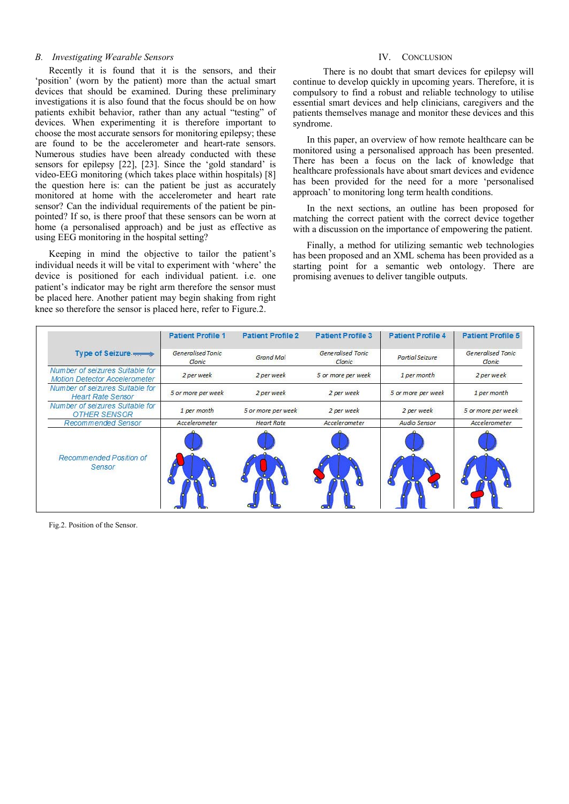## *B. Investigating Wearable Sensors*

Recently it is found that it is the sensors, and their 'position' (worn by the patient) more than the actual smart devices that should be examined. During these preliminary investigations it is also found that the focus should be on how patients exhibit behavior, rather than any actual "testing" of devices. When experimenting it is therefore important to choose the most accurate sensors for monitoring epilepsy; these are found to be the accelerometer and heart-rate sensors. Numerous studies have been already conducted with these sensors for epilepsy [22], [23]. Since the 'gold standard' is video-EEG monitoring (which takes place within hospitals) [8] the question here is: can the patient be just as accurately monitored at home with the accelerometer and heart rate sensor? Can the individual requirements of the patient be pinpointed? If so, is there proof that these sensors can be worn at home (a personalised approach) and be just as effective as using EEG monitoring in the hospital setting?

Keeping in mind the objective to tailor the patient's individual needs it will be vital to experiment with 'where' the device is positioned for each individual patient. i.e. one patient's indicator may be right arm therefore the sensor must be placed here. Another patient may begin shaking from right knee so therefore the sensor is placed here, refer to Figure.2.

# IV. CONCLUSION

 There is no doubt that smart devices for epilepsy will continue to develop quickly in upcoming years. Therefore, it is compulsory to find a robust and reliable technology to utilise essential smart devices and help clinicians, caregivers and the patients themselves manage and monitor these devices and this syndrome.

In this paper, an overview of how remote healthcare can be monitored using a personalised approach has been presented. There has been a focus on the lack of knowledge that healthcare professionals have about smart devices and evidence has been provided for the need for a more 'personalised approach' to monitoring long term health conditions.

In the next sections, an outline has been proposed for matching the correct patient with the correct device together with a discussion on the importance of empowering the patient.

Finally, a method for utilizing semantic web technologies has been proposed and an XML schema has been provided as a starting point for a semantic web ontology. There are promising avenues to deliver tangible outputs.

|                                                                         | <b>Patient Profile 1</b>           | <b>Patient Profile 2</b> | <b>Patient Profile 3</b>           | <b>Patient Profile 4</b> | <b>Patient Profile 5</b>    |
|-------------------------------------------------------------------------|------------------------------------|--------------------------|------------------------------------|--------------------------|-----------------------------|
| Type of Seizure                                                         | <b>Generalised Tonic</b><br>Clonic | Grand Mal                | <b>Generalised Tonic</b><br>Clonic | Partial Seizure          | Generalised Tonic<br>Clonic |
| Number of seizures Suitable for<br><b>Motion Detector Accelerometer</b> | 2 per week                         | 2 per week               | 5 or more per week                 | 1 per month              | 2 per week                  |
| Number of seizures Suitable for<br><b>Heart Rate Sensor</b>             | 5 or more per week                 | 2 per week               | 2 per week                         | 5 or more per week       | 1 per month                 |
| Number of seizures Suitable for<br><b>OTHER SENSOR</b>                  | 1 per month                        | 5 or more per week       | 2 per week                         | 2 per week               | 5 or more per week          |
| <b>Recommended Sensor</b>                                               | Accelerometer                      | <b>Heart Rate</b>        | Accelerometer                      | Audio Sensor             | Accelerometer               |
| Recommended Position of<br>Sensor                                       |                                    |                          |                                    |                          |                             |

Fig.2. Position of the Sensor.